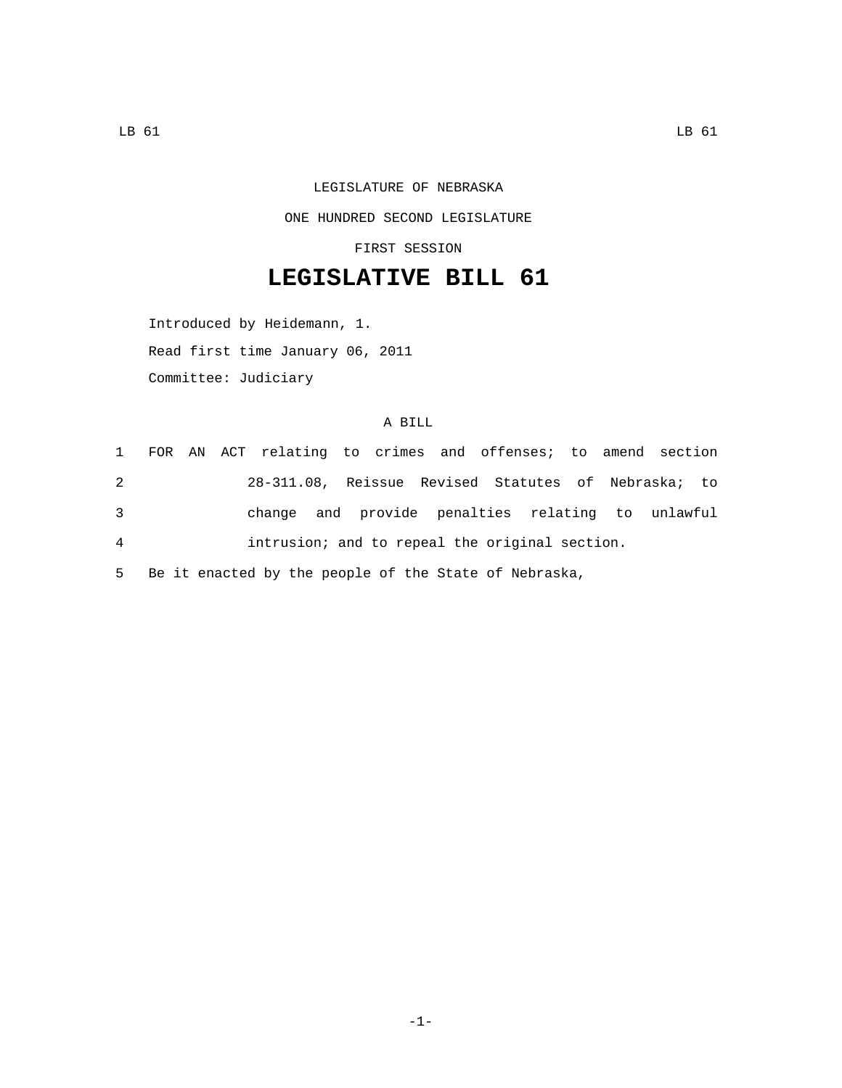## LEGISLATURE OF NEBRASKA ONE HUNDRED SECOND LEGISLATURE

FIRST SESSION

## **LEGISLATIVE BILL 61**

Introduced by Heidemann, 1. Read first time January 06, 2011 Committee: Judiciary

## A BILL

 FOR AN ACT relating to crimes and offenses; to amend section 28-311.08, Reissue Revised Statutes of Nebraska; to change and provide penalties relating to unlawful intrusion; and to repeal the original section.

5 Be it enacted by the people of the State of Nebraska,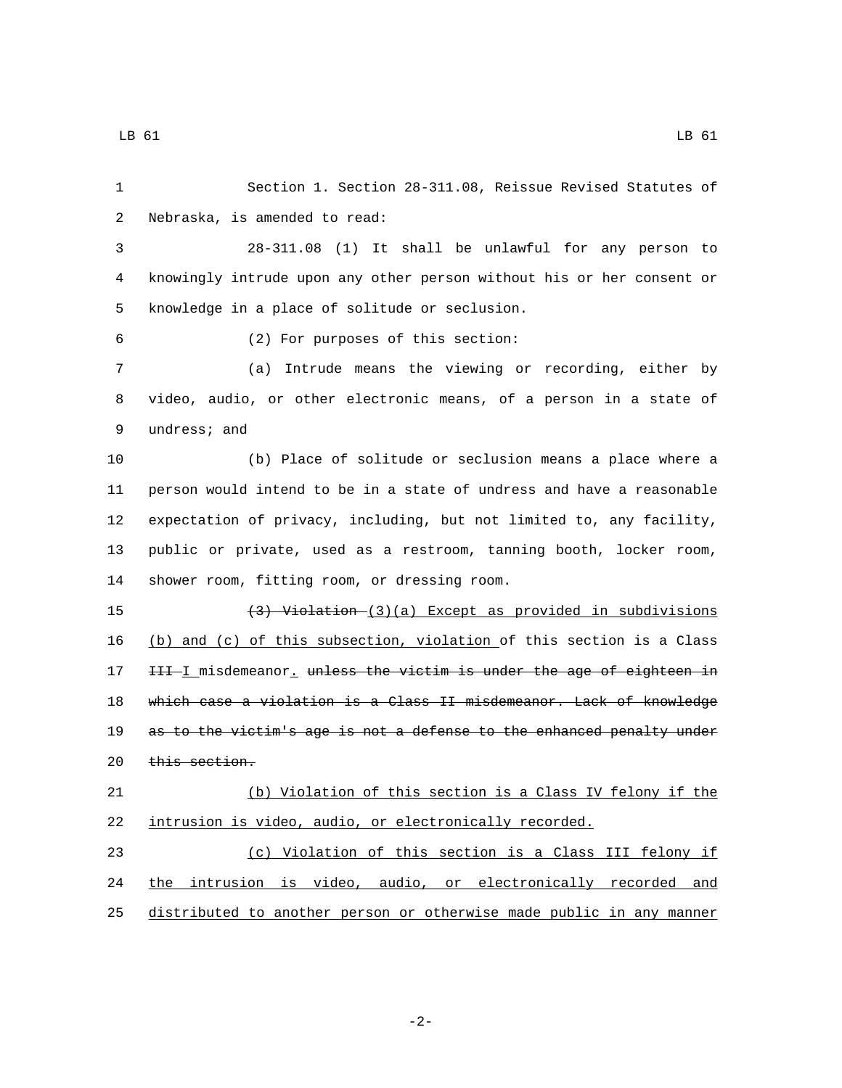Section 1. Section 28-311.08, Reissue Revised Statutes of 2 Nebraska, is amended to read: 28-311.08 (1) It shall be unlawful for any person to knowingly intrude upon any other person without his or her consent or 5 knowledge in a place of solitude or seclusion. (2) For purposes of this section:6 (a) Intrude means the viewing or recording, either by video, audio, or other electronic means, of a person in a state of 9 undress; and (b) Place of solitude or seclusion means a place where a person would intend to be in a state of undress and have a reasonable expectation of privacy, including, but not limited to, any facility, public or private, used as a restroom, tanning booth, locker room, 14 shower room, fitting room, or dressing room. (3) Violation (3)(a) Except as provided in subdivisions (b) and (c) of this subsection, violation of this section is a Class 17 III I misdemeanor, unless the victim is under the age of eighteen in which case a violation is a Class II misdemeanor. Lack of knowledge 19 as to the victim's age is not a defense to the enhanced penalty under this section. (b) Violation of this section is a Class IV felony if the intrusion is video, audio, or electronically recorded. (c) Violation of this section is a Class III felony if the intrusion is video, audio, or electronically recorded and

distributed to another person or otherwise made public in any manner

-2-